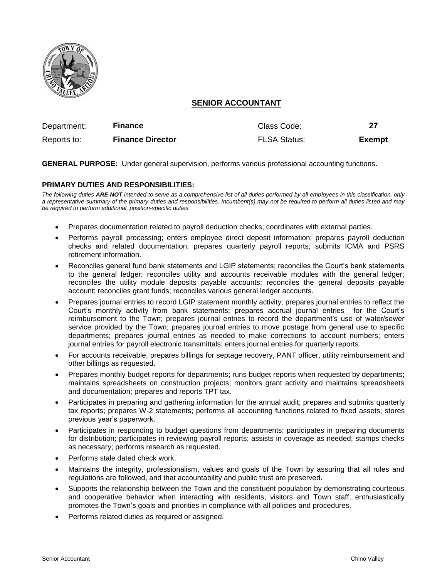

# **SENIOR ACCOUNTANT**

| Department: | <b>Finance</b>          | Class Code:         |               |
|-------------|-------------------------|---------------------|---------------|
| Reports to: | <b>Finance Director</b> | <b>FLSA Status:</b> | <b>Exempt</b> |

**GENERAL PURPOSE:** Under general supervision, performs various professional accounting functions.

# **PRIMARY DUTIES AND RESPONSIBILITIES:**

*The following duties ARE NOT intended to serve as a comprehensive list of all duties performed by all employees in this classification, only a representative summary of the primary duties and responsibilities. Incumbent(s) may not be required to perform all duties listed and may be required to perform additional, position-specific duties.*

- Prepares documentation related to payroll deduction checks; coordinates with external parties.
- Performs payroll processing; enters employee direct deposit information; prepares payroll deduction checks and related documentation; prepares quarterly payroll reports; submits ICMA and PSRS retirement information.
- Reconciles general fund bank statements and LGIP statements; reconciles the Court's bank statements to the general ledger; reconciles utility and accounts receivable modules with the general ledger; reconciles the utility module deposits payable accounts; reconciles the general deposits payable account; reconciles grant funds; reconciles various general ledger accounts.
- Prepares journal entries to record LGIP statement monthly activity; prepares journal entries to reflect the Court's monthly activity from bank statements; prepares accrual journal entries for the Court's reimbursement to the Town; prepares journal entries to record the department's use of water/sewer service provided by the Town; prepares journal entries to move postage from general use to specific departments; prepares journal entries as needed to make corrections to account numbers; enters journal entries for payroll electronic transmittals; enters journal entries for quarterly reports.
- For accounts receivable, prepares billings for septage recovery, PANT officer, utility reimbursement and other billings as requested.
- Prepares monthly budget reports for departments; runs budget reports when requested by departments; maintains spreadsheets on construction projects; monitors grant activity and maintains spreadsheets and documentation; prepares and reports TPT tax.
- Participates in preparing and gathering information for the annual audit; prepares and submits quarterly tax reports; prepares W-2 statements; performs all accounting functions related to fixed assets; stores previous year's paperwork.
- Participates in responding to budget questions from departments; participates in preparing documents for distribution; participates in reviewing payroll reports; assists in coverage as needed; stamps checks as necessary; performs research as requested.
- Performs stale dated check work.
- Maintains the integrity, professionalism, values and goals of the Town by assuring that all rules and regulations are followed, and that accountability and public trust are preserved.
- Supports the relationship between the Town and the constituent population by demonstrating courteous and cooperative behavior when interacting with residents, visitors and Town staff; enthusiastically promotes the Town's goals and priorities in compliance with all policies and procedures.
- Performs related duties as required or assigned.